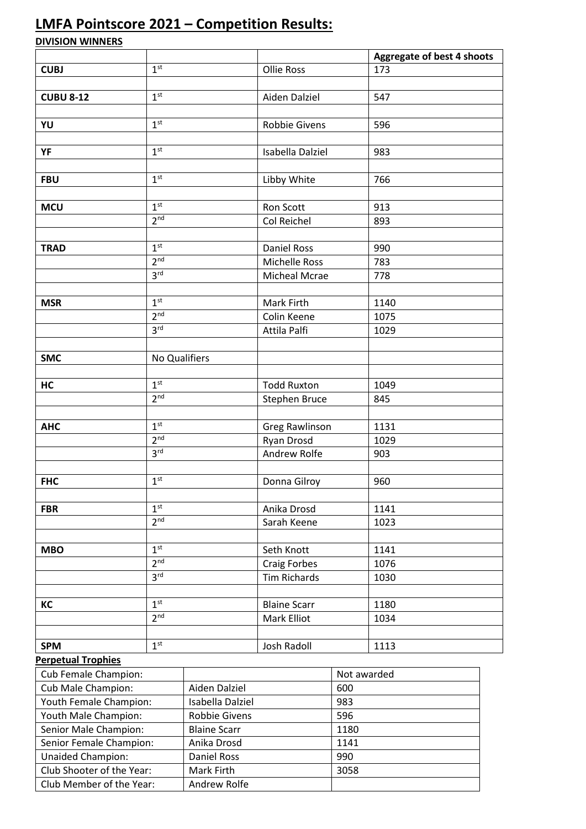## **LMFA Pointscore 2021 – Competition Results:**

**DIVISION WINNERS**

|                                                       |                                    |                                   |                      |             | Aggregate of best 4 shoots |  |  |  |
|-------------------------------------------------------|------------------------------------|-----------------------------------|----------------------|-------------|----------------------------|--|--|--|
| <b>CUBJ</b>                                           | 1 <sup>st</sup>                    |                                   | <b>Ollie Ross</b>    |             | 173                        |  |  |  |
|                                                       |                                    |                                   |                      |             |                            |  |  |  |
| <b>CUBU 8-12</b>                                      | 1 <sup>st</sup>                    |                                   | Aiden Dalziel        |             | 547                        |  |  |  |
|                                                       |                                    |                                   |                      |             |                            |  |  |  |
| YU                                                    | 1 <sup>st</sup>                    |                                   | <b>Robbie Givens</b> |             | 596                        |  |  |  |
|                                                       |                                    |                                   |                      |             |                            |  |  |  |
| YF                                                    | 1 <sup>st</sup>                    |                                   | Isabella Dalziel     |             | 983                        |  |  |  |
|                                                       |                                    |                                   |                      |             |                            |  |  |  |
| <b>FBU</b>                                            | 1 <sup>st</sup>                    |                                   | Libby White          |             | 766                        |  |  |  |
|                                                       |                                    |                                   |                      |             |                            |  |  |  |
| <b>MCU</b>                                            | 1 <sup>st</sup><br>2 <sup>nd</sup> |                                   | Ron Scott            |             | 913                        |  |  |  |
|                                                       |                                    |                                   | Col Reichel          |             | 893                        |  |  |  |
| <b>TRAD</b>                                           | 1 <sup>st</sup>                    |                                   | <b>Daniel Ross</b>   |             | 990                        |  |  |  |
|                                                       | 2 <sub>nd</sub>                    |                                   | <b>Michelle Ross</b> |             | 783                        |  |  |  |
|                                                       | 3 <sup>rd</sup>                    |                                   | Micheal Mcrae        |             | 778                        |  |  |  |
|                                                       |                                    |                                   |                      |             |                            |  |  |  |
| <b>MSR</b>                                            | 1 <sup>st</sup>                    |                                   | Mark Firth           |             | 1140                       |  |  |  |
|                                                       | 2 <sup>nd</sup>                    |                                   | Colin Keene          |             | 1075                       |  |  |  |
|                                                       | 3 <sup>rd</sup>                    |                                   | Attila Palfi         |             | 1029                       |  |  |  |
|                                                       |                                    |                                   |                      |             |                            |  |  |  |
| <b>SMC</b>                                            | No Qualifiers                      |                                   |                      |             |                            |  |  |  |
|                                                       |                                    |                                   |                      |             |                            |  |  |  |
| HC                                                    | 1 <sup>st</sup>                    |                                   | <b>Todd Ruxton</b>   |             | 1049                       |  |  |  |
|                                                       | 2 <sup>nd</sup>                    |                                   | Stephen Bruce        |             | 845                        |  |  |  |
|                                                       |                                    |                                   |                      |             |                            |  |  |  |
| <b>AHC</b>                                            | 1 <sup>st</sup>                    |                                   | Greg Rawlinson       |             | 1131                       |  |  |  |
|                                                       | 2 <sup>nd</sup>                    |                                   | Ryan Drosd           |             | 1029                       |  |  |  |
|                                                       | 3 <sup>rd</sup>                    |                                   | Andrew Rolfe         |             | 903                        |  |  |  |
|                                                       |                                    |                                   |                      |             |                            |  |  |  |
| <b>FHC</b>                                            | 1 <sup>st</sup>                    |                                   | Donna Gilroy         |             | 960                        |  |  |  |
|                                                       |                                    |                                   |                      |             |                            |  |  |  |
| <b>FBR</b>                                            | 1 <sup>st</sup>                    |                                   | Anika Drosd          |             | 1141                       |  |  |  |
|                                                       | 2 <sub>nd</sub>                    |                                   | Sarah Keene          |             | 1023                       |  |  |  |
|                                                       |                                    |                                   |                      |             |                            |  |  |  |
| <b>MBO</b>                                            | 1 <sup>st</sup>                    |                                   | Seth Knott           |             | 1141                       |  |  |  |
|                                                       | 2 <sub>nd</sub>                    |                                   | <b>Craig Forbes</b>  |             | 1076                       |  |  |  |
|                                                       | 3 <sup>rd</sup>                    |                                   | <b>Tim Richards</b>  |             | 1030                       |  |  |  |
|                                                       |                                    |                                   |                      |             |                            |  |  |  |
| KC                                                    | 1 <sup>st</sup>                    |                                   | <b>Blaine Scarr</b>  |             | 1180                       |  |  |  |
|                                                       | 2 <sup>nd</sup>                    |                                   | <b>Mark Elliot</b>   |             | 1034                       |  |  |  |
|                                                       |                                    |                                   |                      |             |                            |  |  |  |
| <b>SPM</b>                                            | 1 <sup>st</sup>                    |                                   | Josh Radoll          |             | 1113                       |  |  |  |
| <b>Perpetual Trophies</b>                             |                                    |                                   |                      |             |                            |  |  |  |
| Cub Female Champion:                                  |                                    |                                   |                      | Not awarded |                            |  |  |  |
| Cub Male Champion:                                    |                                    | Aiden Dalziel                     |                      | 600         |                            |  |  |  |
| Youth Female Champion:                                |                                    | Isabella Dalziel                  |                      | 983         |                            |  |  |  |
| Youth Male Champion:                                  |                                    | Robbie Givens                     |                      | 596         |                            |  |  |  |
| Senior Male Champion:                                 |                                    | <b>Blaine Scarr</b>               |                      | 1180        |                            |  |  |  |
| Senior Female Champion:                               |                                    | Anika Drosd<br><b>Daniel Ross</b> |                      | 1141<br>990 |                            |  |  |  |
| <b>Unaided Champion:</b><br>Club Shooter of the Year: |                                    | Mark Firth                        |                      |             |                            |  |  |  |
| Club Member of the Year:                              |                                    | Andrew Rolfe                      |                      | 3058        |                            |  |  |  |
|                                                       |                                    |                                   |                      |             |                            |  |  |  |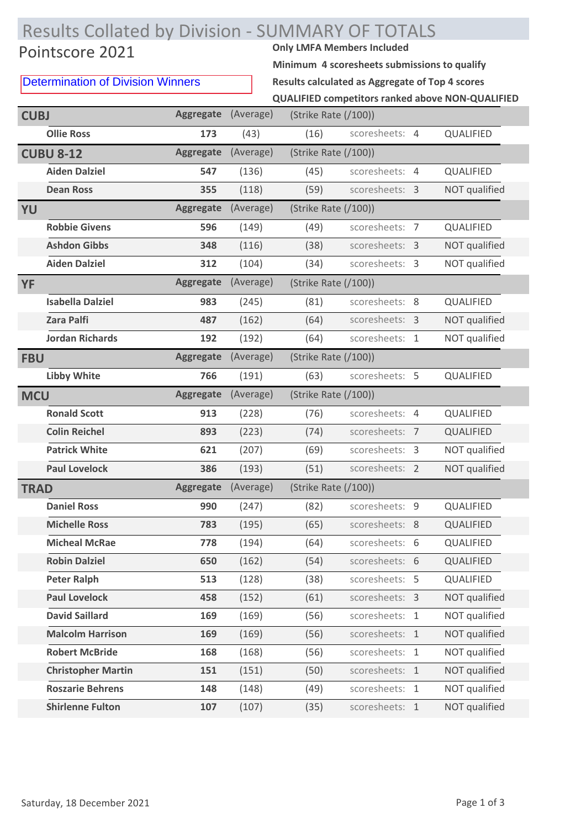## Results Collated by Division - SUMMARY OF TOTALS

## Pointscore 2021

Determination of Division Winners

**Minimum 4 scoresheets submissions to qualify**

**QUALIFIED competitors ranked above NON-QUALIFIED Results calculated as Aggregate of Top 4 scores**

| <b>CUBJ</b> |                           | <b>Aggregate</b> | (Average) | (Strike Rate (/100)) |                |               |
|-------------|---------------------------|------------------|-----------|----------------------|----------------|---------------|
|             | <b>Ollie Ross</b>         | 173              | (43)      | (16)                 | scoresheets: 4 | QUALIFIED     |
|             | <b>CUBU 8-12</b>          | <b>Aggregate</b> | (Average) | (Strike Rate (/100)) |                |               |
|             | <b>Aiden Dalziel</b>      | 547              | (136)     | (45)                 | scoresheets: 4 | QUALIFIED     |
|             | <b>Dean Ross</b>          | 355              | (118)     | (59)                 | scoresheets: 3 | NOT qualified |
| YU          |                           | <b>Aggregate</b> | (Average) | (Strike Rate (/100)) |                |               |
|             | <b>Robbie Givens</b>      | 596              | (149)     | (49)                 | scoresheets: 7 | QUALIFIED     |
|             | <b>Ashdon Gibbs</b>       | 348              | (116)     | (38)                 | scoresheets: 3 | NOT qualified |
|             | <b>Aiden Dalziel</b>      | 312              | (104)     | (34)                 | scoresheets: 3 | NOT qualified |
| <b>YF</b>   |                           | <b>Aggregate</b> | (Average) | (Strike Rate (/100)) |                |               |
|             | <b>Isabella Dalziel</b>   | 983              | (245)     | (81)                 | scoresheets: 8 | QUALIFIED     |
|             | <b>Zara Palfi</b>         | 487              | (162)     | (64)                 | scoresheets: 3 | NOT qualified |
|             | <b>Jordan Richards</b>    | 192              | (192)     | (64)                 | scoresheets: 1 | NOT qualified |
| <b>FBU</b>  |                           | <b>Aggregate</b> | (Average) | (Strike Rate (/100)) |                |               |
|             | <b>Libby White</b>        | 766              | (191)     | (63)                 | scoresheets: 5 | QUALIFIED     |
| <b>MCU</b>  |                           | <b>Aggregate</b> | (Average) | (Strike Rate (/100)) |                |               |
|             | <b>Ronald Scott</b>       | 913              | (228)     | (76)                 | scoresheets: 4 | QUALIFIED     |
|             | <b>Colin Reichel</b>      | 893              | (223)     | (74)                 | scoresheets: 7 | QUALIFIED     |
|             | <b>Patrick White</b>      | 621              | (207)     | (69)                 | scoresheets: 3 | NOT qualified |
|             | <b>Paul Lovelock</b>      | 386              | (193)     | (51)                 | scoresheets: 2 | NOT qualified |
| <b>TRAD</b> |                           | <b>Aggregate</b> | (Average) | (Strike Rate (/100)) |                |               |
|             | <b>Daniel Ross</b>        | 990              | (247)     | (82)                 | scoresheets: 9 | QUALIFIED     |
|             | <b>Michelle Ross</b>      | 783              | (195)     | (65)                 | scoresheets: 8 | QUALIFIED     |
|             | <b>Micheal McRae</b>      | 778              | (194)     | (64)                 | scoresheets: 6 | QUALIFIED     |
|             | <b>Robin Dalziel</b>      | 650              | (162)     | (54)                 | scoresheets: 6 | QUALIFIED     |
|             | <b>Peter Ralph</b>        | 513              | (128)     | (38)                 | scoresheets: 5 | QUALIFIED     |
|             | <b>Paul Lovelock</b>      | 458              | (152)     | (61)                 | scoresheets: 3 | NOT qualified |
|             | <b>David Saillard</b>     | 169              | (169)     | (56)                 | scoresheets: 1 | NOT qualified |
|             | <b>Malcolm Harrison</b>   | 169              | (169)     | (56)                 | scoresheets: 1 | NOT qualified |
|             | <b>Robert McBride</b>     | 168              | (168)     | (56)                 | scoresheets: 1 | NOT qualified |
|             | <b>Christopher Martin</b> | 151              | (151)     | (50)                 | scoresheets: 1 | NOT qualified |
|             | <b>Roszarie Behrens</b>   | 148              | (148)     | (49)                 | scoresheets: 1 | NOT qualified |
|             | <b>Shirlenne Fulton</b>   | 107              | (107)     | (35)                 | scoresheets: 1 | NOT qualified |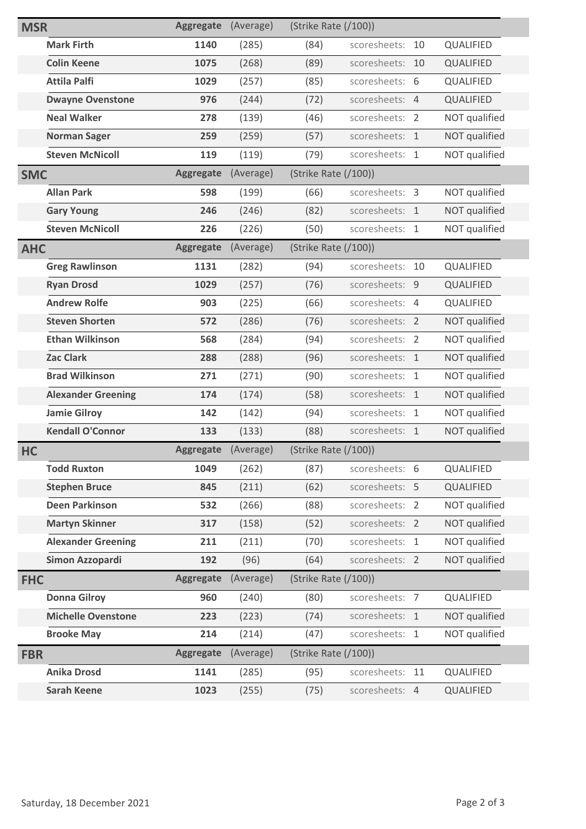| <b>MSR</b> |                           | <b>Aggregate</b> | (Average) | (Strike Rate (/100)) |                 |    |               |
|------------|---------------------------|------------------|-----------|----------------------|-----------------|----|---------------|
|            | <b>Mark Firth</b>         | 1140             | (285)     | (84)                 | scoresheets:    | 10 | QUALIFIED     |
|            | <b>Colin Keene</b>        | 1075             | (268)     | (89)                 | scoresheets:    | 10 | QUALIFIED     |
|            | <b>Attila Palfi</b>       | 1029             | (257)     | (85)                 | scoresheets: 6  |    | QUALIFIED     |
|            | <b>Dwayne Ovenstone</b>   | 976              | (244)     | (72)                 | scoresheets: 4  |    | QUALIFIED     |
|            | <b>Neal Walker</b>        | 278              | (139)     | (46)                 | scoresheets: 2  |    | NOT qualified |
|            | <b>Norman Sager</b>       | 259              | (259)     | (57)                 | scoresheets: 1  |    | NOT qualified |
|            | <b>Steven McNicoll</b>    | 119              | (119)     | (79)                 | scoresheets: 1  |    | NOT qualified |
| <b>SMC</b> |                           | <b>Aggregate</b> | (Average) | (Strike Rate (/100)) |                 |    |               |
|            | <b>Allan Park</b>         | 598              | (199)     | (66)                 | scoresheets: 3  |    | NOT qualified |
|            | <b>Gary Young</b>         | 246              | (246)     | (82)                 | scoresheets: 1  |    | NOT qualified |
|            | <b>Steven McNicoll</b>    | 226              | (226)     | (50)                 | scoresheets: 1  |    | NOT qualified |
| <b>AHC</b> |                           | <b>Aggregate</b> | (Average) | (Strike Rate (/100)) |                 |    |               |
|            | <b>Greg Rawlinson</b>     | 1131             | (282)     | (94)                 | scoresheets:    | 10 | QUALIFIED     |
|            | <b>Ryan Drosd</b>         | 1029             | (257)     | (76)                 | scoresheets: 9  |    | QUALIFIED     |
|            | <b>Andrew Rolfe</b>       | 903              | (225)     | (66)                 | scoresheets: 4  |    | QUALIFIED     |
|            | <b>Steven Shorten</b>     | 572              | (286)     | (76)                 | scoresheets: 2  |    | NOT qualified |
|            | <b>Ethan Wilkinson</b>    | 568              | (284)     | (94)                 | scoresheets: 2  |    | NOT qualified |
|            | <b>Zac Clark</b>          | 288              | (288)     | (96)                 | scoresheets: 1  |    | NOT qualified |
|            | <b>Brad Wilkinson</b>     | 271              | (271)     | (90)                 | scoresheets: 1  |    | NOT qualified |
|            | <b>Alexander Greening</b> | 174              | (174)     | (58)                 | scoresheets: 1  |    | NOT qualified |
|            | <b>Jamie Gilroy</b>       | 142              | (142)     | (94)                 | scoresheets: 1  |    | NOT qualified |
|            | <b>Kendall O'Connor</b>   | 133              | (133)     | (88)                 | scoresheets: 1  |    | NOT qualified |
| HC         |                           | <b>Aggregate</b> | (Average) | (Strike Rate (/100)) |                 |    |               |
|            | <b>Todd Ruxton</b>        | 1049             | (262)     | (87)                 | scoresheets: 6  |    | QUALIFIED     |
|            | <b>Stephen Bruce</b>      | 845              | (211)     | (62)                 | scoresheets: 5  |    | QUALIFIED     |
|            | <b>Deen Parkinson</b>     | 532              | (266)     | (88)                 | scoresheets: 2  |    | NOT qualified |
|            | <b>Martyn Skinner</b>     | 317              | (158)     | (52)                 | scoresheets: 2  |    | NOT qualified |
|            | <b>Alexander Greening</b> | 211              | (211)     | (70)                 | scoresheets: 1  |    | NOT qualified |
|            | Simon Azzopardi           | 192              | (96)      | (64)                 | scoresheets: 2  |    | NOT qualified |
| <b>FHC</b> |                           | <b>Aggregate</b> | (Average) | (Strike Rate (/100)) |                 |    |               |
|            | <b>Donna Gilroy</b>       | 960              | (240)     | (80)                 | scoresheets: 7  |    | QUALIFIED     |
|            | <b>Michelle Ovenstone</b> | 223              | (223)     | (74)                 | scoresheets: 1  |    | NOT qualified |
|            | <b>Brooke May</b>         | 214              | (214)     | (47)                 | scoresheets: 1  |    | NOT qualified |
| <b>FBR</b> |                           | <b>Aggregate</b> | (Average) | (Strike Rate (/100)) |                 |    |               |
|            | <b>Anika Drosd</b>        | 1141             | (285)     | (95)                 | scoresheets: 11 |    | QUALIFIED     |
|            | <b>Sarah Keene</b>        | 1023             | (255)     | (75)                 | scoresheets: 4  |    | QUALIFIED     |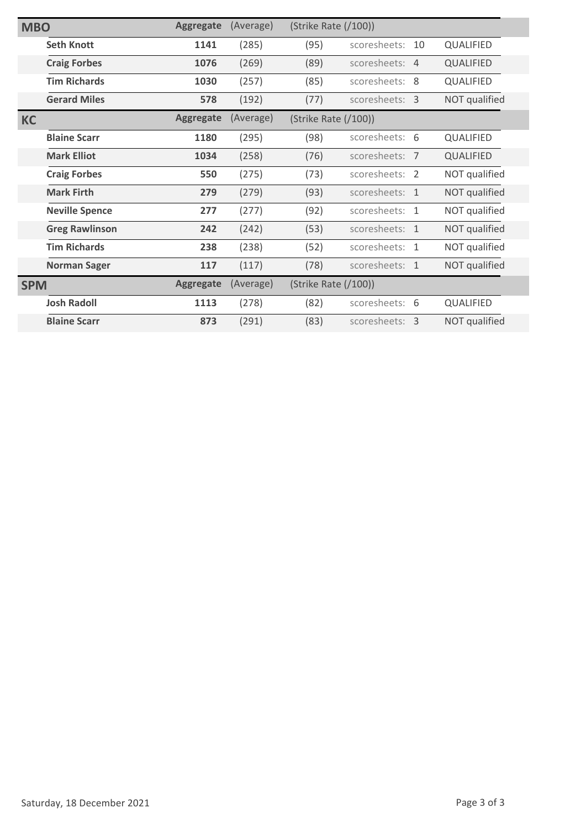| <b>MBO</b> |                       | <b>Aggregate</b> | (Average) | (Strike Rate (/100)) |                |    |               |
|------------|-----------------------|------------------|-----------|----------------------|----------------|----|---------------|
|            | <b>Seth Knott</b>     | 1141             | (285)     | (95)                 | scoresheets:   | 10 | QUALIFIED     |
|            | <b>Craig Forbes</b>   | 1076             | (269)     | (89)                 | scoresheets: 4 |    | QUALIFIED     |
|            | <b>Tim Richards</b>   | 1030             | (257)     | (85)                 | scoresheets: 8 |    | QUALIFIED     |
|            | <b>Gerard Miles</b>   | 578              | (192)     | (77)                 | scoresheets: 3 |    | NOT qualified |
| <b>KC</b>  |                       | <b>Aggregate</b> | (Average) | (Strike Rate (/100)) |                |    |               |
|            | <b>Blaine Scarr</b>   | 1180             | (295)     | (98)                 | scoresheets: 6 |    | QUALIFIED     |
|            | <b>Mark Elliot</b>    | 1034             | (258)     | (76)                 | scoresheets: 7 |    | QUALIFIED     |
|            | <b>Craig Forbes</b>   | 550              | (275)     | (73)                 | scoresheets: 2 |    | NOT qualified |
|            | <b>Mark Firth</b>     | 279              | (279)     | (93)                 | scoresheets: 1 |    | NOT qualified |
|            | <b>Neville Spence</b> | 277              | (277)     | (92)                 | scoresheets: 1 |    | NOT qualified |
|            | <b>Greg Rawlinson</b> | 242              | (242)     | (53)                 | scoresheets: 1 |    | NOT qualified |
|            | <b>Tim Richards</b>   | 238              | (238)     | (52)                 | scoresheets: 1 |    | NOT qualified |
|            | <b>Norman Sager</b>   | 117              | (117)     | (78)                 | scoresheets: 1 |    | NOT qualified |
| <b>SPM</b> |                       | <b>Aggregate</b> | (Average) | (Strike Rate (/100)) |                |    |               |
|            | <b>Josh Radoll</b>    | 1113             | (278)     | (82)                 | scoresheets: 6 |    | QUALIFIED     |
|            | <b>Blaine Scarr</b>   | 873              | (291)     | (83)                 | scoresheets: 3 |    | NOT qualified |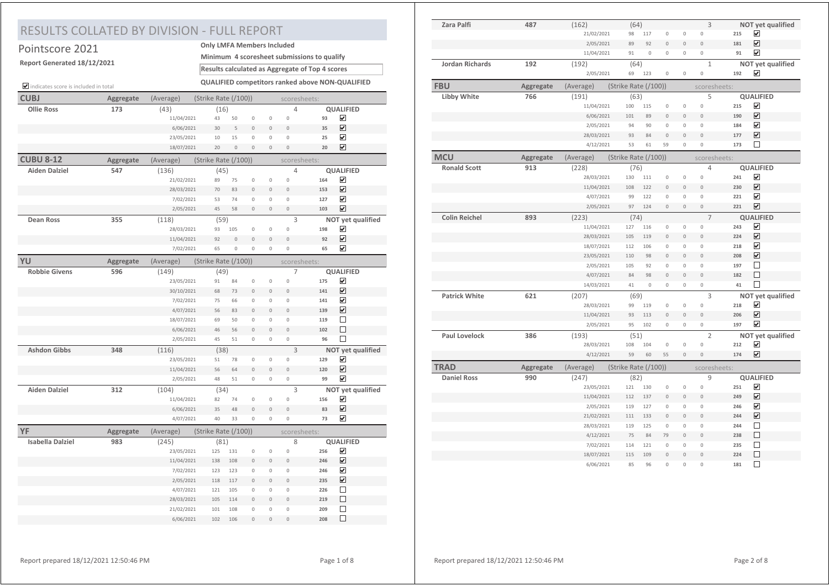## RESULTS COLLATED BY DIVISION - FULL REPORT

| Pointscore 2021                      |           | <b>Only LMFA Members Included</b> |                      |                       |                               |                           |                               |                                                 |                                                  |
|--------------------------------------|-----------|-----------------------------------|----------------------|-----------------------|-------------------------------|---------------------------|-------------------------------|-------------------------------------------------|--------------------------------------------------|
| Report Generated 18/12/2021          |           |                                   |                      |                       |                               |                           |                               | Minimum 4 scoresheet submissions to qualify     |                                                  |
|                                      |           |                                   |                      |                       |                               |                           |                               | Results calculated as Aggregate of Top 4 scores |                                                  |
| indicates score is included in total |           |                                   |                      |                       |                               |                           |                               |                                                 | QUALIFIED competitors ranked above NON-QUALIFIED |
| <b>CUBJ</b>                          | Aggregate | (Average)                         | (Strike Rate (/100)) |                       |                               |                           |                               | scoresheets:                                    |                                                  |
| <b>Ollie Ross</b>                    | 173       | (43)                              | (16)                 |                       |                               |                           | 4                             |                                                 | <b>QUALIFIED</b>                                 |
|                                      |           | 11/04/2021                        | 43                   | 50                    | $\circ$                       | 0                         | 0                             | 93                                              | ☑                                                |
|                                      |           | 6/06/2021                         | 30                   | 5                     | $\circ$                       | $\circ$                   | $\overline{0}$                | 35                                              | ☑                                                |
|                                      |           | 23/05/2021                        | 10                   | 15                    | $\circ$                       | 0                         | $\circ$                       | 25                                              | ☑                                                |
|                                      |           | 18/07/2021                        | 20                   | $\overline{0}$        | $\overline{0}$                | $\overline{0}$            | $\circ$                       | 20                                              | $\overline{\mathbf{v}}$                          |
| <b>CUBU 8-12</b>                     | Aggregate | (Average)                         | (Strike Rate (/100)) |                       |                               |                           |                               | scoresheets:                                    |                                                  |
| Aiden Dalziel                        | 547       | (136)                             | (45)                 |                       |                               |                           | 4                             |                                                 | <b>QUALIFIED</b>                                 |
|                                      |           | 21/02/2021                        | 89                   | 75                    | $\mathbf 0$                   | 0                         | $\overline{0}$                | 164                                             | $\overline{\mathbf{v}}$                          |
|                                      |           | 28/03/2021                        | 70                   | 83                    | $\circ$                       | $\circ$                   | $\circ$                       | 153                                             | $\overline{\mathbf{v}}$                          |
|                                      |           | 7/02/2021                         | 53                   | 74                    | $\overline{0}$                | $\circ$                   | $\circ$                       | 127                                             | ☑                                                |
|                                      |           | 2/05/2021                         | 45                   | 58                    | $\mathbf 0$                   | 0                         | $\mathsf{O}\xspace$           | 103                                             | $\overline{\mathbf{v}}$                          |
| <b>Dean Ross</b>                     | 355       | (118)                             | (59)                 |                       |                               |                           | 3                             |                                                 | NOT yet qualified                                |
|                                      |           | 28/03/2021<br>11/04/2021          | 93<br>92             | 105<br>$\overline{0}$ | $\mathbf 0$<br>$\circ$        | 0<br>$\overline{0}$       | $\mathbf 0$<br>$\circ$        | 198<br>92                                       | ☑<br>$\overline{\mathbf{v}}$                     |
|                                      |           | 7/02/2021                         | 65                   | $\overline{0}$        | $\mathbf 0$                   | 0                         | $\mathbf 0$                   | 65                                              | $\overline{\mathbf{v}}$                          |
|                                      |           |                                   |                      |                       |                               |                           |                               |                                                 |                                                  |
| YU                                   | Aggregate | (Average)                         | (Strike Rate (/100)) |                       |                               |                           |                               | scoresheets:                                    |                                                  |
| <b>Robbie Givens</b>                 | 596       | (149)                             | (49)                 |                       |                               |                           | 7<br>$\circ$                  | 175                                             | <b>QUALIFIED</b><br>☑                            |
|                                      |           | 23/05/2021<br>30/10/2021          | 91<br>68             | 84<br>73              | $\mathbf 0$<br>$\circ$        | $\circ$<br>$\circ$        | $\circ$                       | 141                                             | $\blacktriangledown$                             |
|                                      |           | 7/02/2021                         | 75                   | 66                    | $\mathbf 0$                   | 0                         | $\circ$                       | 141                                             | $\overline{\mathbf{v}}$                          |
|                                      |           | 4/07/2021                         | 56                   | 83                    | $\overline{0}$                | $\overline{0}$            | $\overline{0}$                | 139                                             | ☑                                                |
|                                      |           | 18/07/2021                        | 69                   | 50                    | $\mathbf 0$                   | 0                         | $\circ$                       | 119                                             | П                                                |
|                                      |           | 6/06/2021                         | 46                   | 56                    | $\overline{0}$                | $\overline{0}$            | $\circ$                       | 102                                             | П                                                |
|                                      |           | 2/05/2021                         | 45                   | 51                    | $\circ$                       | 0                         | $\mathbb O$                   | 96                                              | □                                                |
| <b>Ashdon Gibbs</b>                  | 348       | (116)                             | (38)                 |                       |                               |                           | $\overline{3}$                |                                                 | NOT yet qualified                                |
|                                      |           | 23/05/2021                        | 51                   | 78                    | $\mathbf 0$                   | $\circ$                   | $\mathbf 0$                   | 129                                             | ☑                                                |
|                                      |           | 11/04/2021                        | 56                   | 64                    | $\circ$                       | $\mathsf{O}\xspace$       | $\circ$                       | 120                                             | ☑                                                |
|                                      |           | 2/05/2021                         | 48                   | 51                    | $\mathbf 0$                   | 0                         | $\circ$                       | 99                                              | $\overline{\mathbf{v}}$                          |
| <b>Aiden Dalziel</b>                 | 312       | (104)                             | (34)                 |                       |                               |                           | 3                             |                                                 | NOT yet qualified                                |
|                                      |           | 11/04/2021                        | 82                   | 74                    | $\mathbb O$                   | 0                         | $\circ$                       | 156                                             | ☑                                                |
|                                      |           | 6/06/2021                         | 35                   | 48                    | $\Omega$                      | $\mathsf{O}\xspace$       | $\circ$                       | 83                                              | ☑                                                |
|                                      |           | 4/07/2021                         | 40                   | 33                    | $\mathbf 0$                   | 0                         | $\circ$                       | 73                                              | ☑                                                |
| YF                                   | Aggregate | (Average)                         | (Strike Rate (/100)) |                       |                               |                           |                               | scoresheets:                                    |                                                  |
| <b>Isabella Dalziel</b>              | 983       | (245)                             | (81)                 |                       |                               |                           | 8                             |                                                 | <b>QUALIFIED</b>                                 |
|                                      |           | 23/05/2021                        | 125                  | 131                   | $\mathbf 0$                   | 0                         | $\circ$                       | 256                                             | ☑                                                |
|                                      |           | 11/04/2021                        | 138                  | 108                   | $\overline{0}$                | $\overline{0}$            | $\overline{0}$                | 246                                             | $\overline{\mathbf{v}}$                          |
|                                      |           | 7/02/2021                         | 123                  | 123                   | $\mathbf 0$                   | $\circ$                   | $\mathbf 0$                   | 246                                             | ☑                                                |
|                                      |           | 2/05/2021                         | 118                  | 117                   | $\circ$                       | $\overline{0}$            | $\circ$                       | 235                                             | $\overline{\mathbf{v}}$                          |
|                                      |           | 4/07/2021                         | 121                  | 105                   | $\mathbf 0$                   | $\circ$                   | $\mathbf 0$                   | 226                                             | □                                                |
|                                      |           | 28/03/2021                        | 105                  | 114                   | $\overline{0}$                | $\overline{0}$            | $\circ$                       | 219                                             | П<br>П                                           |
|                                      |           | 21/02/2021                        | 101<br>102           | 108<br>106            | $\mathbf 0$<br>$\overline{0}$ | $\circ$<br>$\overline{0}$ | $\mathbf 0$<br>$\overline{0}$ | 209<br>208                                      | □                                                |
|                                      |           | 6/06/2021                         |                      |                       |                               |                           |                               |                                                 |                                                  |

| Zara Palfi             | 487       | (162)      | (64)                 |             |                |                     | 3              |     | NOT yet qualified       |
|------------------------|-----------|------------|----------------------|-------------|----------------|---------------------|----------------|-----|-------------------------|
|                        |           | 21/02/2021 | 98                   | 117         | $\mathbb O$    | $\circ$             | $\mathbf 0$    | 215 | ☑                       |
|                        |           | 2/05/2021  | 89                   | 92          | $\mathbf 0$    | $\mathsf{O}\xspace$ | $\circ$        | 181 | $\overline{\mathbf{v}}$ |
|                        |           | 11/04/2021 | 91                   | $\mathbf 0$ | $\circ$        | $\mathbf 0$         | $\mathbf 0$    | 91  | ☑                       |
| <b>Jordan Richards</b> | 192       | (192)      | (64)                 |             |                |                     | $\mathbf{1}$   |     | NOT yet qualified       |
|                        |           | 2/05/2021  | 69                   | 123         | $\circ$        | 0                   | $\mathbf 0$    | 192 | $\overline{\mathbf{v}}$ |
| <b>FBU</b>             | Aggregate | (Average)  | (Strike Rate (/100)) |             |                |                     | scoresheets:   |     |                         |
| Libby White            | 766       | (191)      | (63)                 |             |                |                     | 5              |     | <b>QUALIFIED</b>        |
|                        |           | 11/04/2021 | 100                  | 115         | $\mathbf{0}$   | $\mathbf 0$         | $\mathbb O$    | 215 | ☑                       |
|                        |           | 6/06/2021  | 101                  | 89          | $\mathbf{0}$   | $\mathbf{0}$        | $\mathbf{0}$   | 190 | ☑                       |
|                        |           | 2/05/2021  | 94                   | 90          | $\mathbb O$    | 0                   | $\mathbb O$    | 184 | ☑                       |
|                        |           | 28/03/2021 | 93                   | 84          | $\mathbf{0}$   | $\mathbf{0}$        | $\mathbf{0}$   | 177 | ☑                       |
|                        |           | 4/12/2021  | 53                   | 61          | 59             | $\mathbf 0$         | $\mathbb O$    | 173 | $\Box$                  |
| <b>MCU</b>             | Aggregate | (Average)  | (Strike Rate (/100)) |             |                |                     | scoresheets:   |     |                         |
| <b>Ronald Scott</b>    | 913       | (228)      | (76)                 |             |                |                     | 4              |     | <b>QUALIFIED</b>        |
|                        |           | 28/03/2021 | 130                  | 111         | $\circ$        | 0                   | $\mathbb O$    | 241 | ☑                       |
|                        |           | 11/04/2021 | 108                  | 122         | $\mathbf{0}$   | $\mathbf{0}$        | $\theta$       | 230 | $\overline{\mathbf{v}}$ |
|                        |           | 4/07/2021  | 99                   | 122         | $\mathbb O$    | 0                   | $\mathbf 0$    | 221 | ☑                       |
|                        |           | 2/05/2021  | 97                   | 124         | $\mathbb O$    | $\mathsf{O}\xspace$ | $\mathbb O$    | 221 | $\blacktriangledown$    |
| <b>Colin Reichel</b>   | 893       | (223)      | (74)                 |             |                |                     | $\overline{7}$ |     | <b>QUALIFIED</b>        |
|                        |           | 11/04/2021 | 127                  | 116         | $\mathbf 0$    | $\mathbf 0$         | $\mathbf{0}$   | 243 | ☑                       |
|                        |           | 28/03/2021 | 105                  | 119         | $\mathbf 0$    | $\mathsf{O}\xspace$ | $\overline{0}$ | 224 | $\overline{\mathbf{v}}$ |
|                        |           | 18/07/2021 | 112                  | 106         | $\mathbf 0$    | $\mathbf 0$         | $\mathbf{0}$   | 218 | $\overline{\mathbf{v}}$ |
|                        |           | 23/05/2021 | 110                  | 98          | $\circ$        | $\mathbf{0}$        | $\mathbf{0}$   | 208 | ☑                       |
|                        |           | 2/05/2021  | 105                  | 92          | $\mathbb O$    | 0                   | $\mathbb O$    | 197 | $\Box$                  |
|                        |           | 4/07/2021  | 84                   | 98          | $\mathbb O$    | $\mathsf{O}\xspace$ | $\Omega$       | 182 | П                       |
|                        |           | 14/03/2021 | 41                   | $\mathbf 0$ | $\mathbf 0$    | $\mathbf 0$         | $\mathbf 0$    | 41  | $\Box$                  |
| <b>Patrick White</b>   | 621       | (207)      | (69)                 |             |                |                     | 3              |     | NOT yet qualified       |
|                        |           | 28/03/2021 | 99                   | 119         | $\mathbb O$    | 0                   | $\mathbb O$    | 218 | $\overline{\mathbf{v}}$ |
|                        |           | 11/04/2021 | 93                   | 113         | $\mathbf{0}$   | $\overline{0}$      | $\Omega$       | 206 | $\overline{\mathbf{v}}$ |
|                        |           | 2/05/2021  | 95                   | 102         | $\circ$        | $\mathbf 0$         | $\circ$        | 197 | $\blacktriangledown$    |
| Paul Lovelock          | 386       | (193)      | (51)                 |             |                |                     | $\overline{2}$ |     | NOT yet qualified       |
|                        |           | 28/03/2021 | 108                  | 104         | $\mathbb O$    | 0                   | $\mathbb O$    | 212 | ☑                       |
|                        |           | 4/12/2021  | 59                   | 60          | 55             | $\mathbf{0}$        | $\mathbf{0}$   | 174 | ⊽                       |
| <b>TRAD</b>            | Aggregate | (Average)  | (Strike Rate (/100)) |             |                |                     | scoresheets:   |     |                         |
| <b>Daniel Ross</b>     | 990       | (247)      | (82)                 |             |                |                     | 9              |     | <b>QUALIFIED</b>        |
|                        |           | 23/05/2021 | 121                  | 130         | $\mathbb O$    | 0                   | $\mathbb O$    | 251 | ☑                       |
|                        |           | 11/04/2021 | 112                  | 137         | $\mathbf{0}$   | $\mathbf{0}$        | $\theta$       | 249 | ☑                       |
|                        |           | 2/05/2021  | 119                  | 127         | $\mathbf 0$    | 0                   | $\mathbb O$    | 246 | $\blacktriangledown$    |
|                        |           | 21/02/2021 | 111                  | 133         | $\overline{0}$ | $\mathbf{0}$        | $\overline{0}$ | 244 | $\overline{\mathbf{v}}$ |
|                        |           | 28/03/2021 | 119                  | 125         | $\mathbf 0$    | $\mathbf 0$         | $\mathbf{0}$   | 244 | П                       |
|                        |           | 4/12/2021  | 75                   | 84          | 79             | $\mathbf{0}$        | $\overline{0}$ | 238 | П                       |
|                        |           | 7/02/2021  | 114                  | 121         | $\mathbf 0$    | $\mathbf 0$         | $\mathbf{0}$   | 235 | П                       |
|                        |           | 18/07/2021 | 115                  | 109         | $\mathbf 0$    | $\mathbf{0}$        | $\mathbf 0$    | 224 | □                       |
|                        |           | 6/06/2021  | 85                   | 96          | $\Omega$       | $\Omega$            | $\circ$        | 181 | $\Box$                  |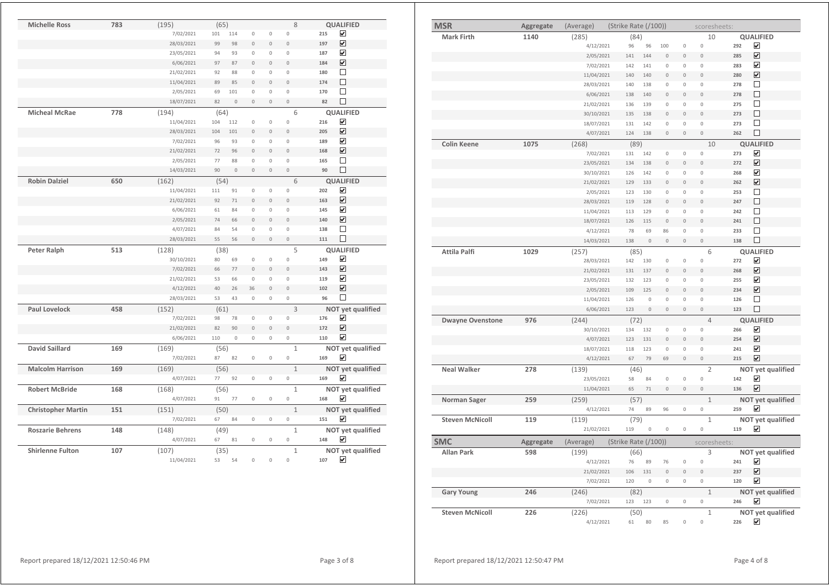| <b>MSR</b>              | Aggregate | (Average)  | (Strike Rate (/100)) |             |                     |                     | scoresheets:        |     |                         |
|-------------------------|-----------|------------|----------------------|-------------|---------------------|---------------------|---------------------|-----|-------------------------|
| <b>Mark Firth</b>       | 1140      | (285)      | (84)                 |             |                     |                     | 10                  |     | <b>QUALIFIED</b>        |
|                         |           | 4/12/2021  | 96                   | 96          | 100                 | $\mathbb O$         | $\mathbb O$         | 292 | ☑                       |
|                         |           | 2/05/2021  | 141                  | 144         | $\circ$             | $\mathbf 0$         | $\overline{0}$      | 285 | $\overline{\mathbf{v}}$ |
|                         |           | 7/02/2021  | 142                  | 141         | $\mathbb O$         | $\mathbb O$         | 0                   | 283 | $\overline{\mathbf{v}}$ |
|                         |           | 11/04/2021 | 140                  | 140         | $\circ$             | $\mathbf 0$         | $\mathbf 0$         | 280 | $\overline{\mathbf{v}}$ |
|                         |           | 28/03/2021 | 140                  | 138         | $\mathbf 0$         | $\mathbf 0$         | $\mathbb O$         | 278 | $\Box$                  |
|                         |           | 6/06/2021  | 138                  | 140         | $\mathbf 0$         | $\mathsf{O}\xspace$ | $\mathbb O$         | 278 | $\Box$                  |
|                         |           | 21/02/2021 | 136                  | 139         | 0                   | 0                   | 0                   | 275 | $\Box$                  |
|                         |           | 30/10/2021 | 135                  | 138         | $\Omega$            | $\mathbb O$         | $\overline{0}$      | 273 | $\Box$                  |
|                         |           | 18/07/2021 | 131                  | 142         | $\mathsf{O}\xspace$ | $\mathbb O$         | $\mathbf 0$         | 273 | $\Box$                  |
|                         |           | 4/07/2021  | 124                  | 138         | $\mathbb O$         | $\mathbb O$         | $\mathbf 0$         | 262 | $\Box$                  |
| <b>Colin Keene</b>      | 1075      | (268)      | (89)                 |             |                     |                     | 10                  |     | <b>QUALIFIED</b>        |
|                         |           | 7/02/2021  | 131                  | 142         | 0                   | $\mathbb O$         | $\mathbb O$         | 273 | $\overline{\mathbf{v}}$ |
|                         |           | 23/05/2021 | 134                  | 138         | $\circ$             | $\mathbf 0$         | $\circ$             | 272 | $\overline{\mathbf{v}}$ |
|                         |           | 30/10/2021 | 126                  | 142         | $\mathsf{O}\xspace$ | $\mathbb O$         | $\mathsf{O}\xspace$ | 268 | $\blacktriangledown$    |
|                         |           | 21/02/2021 | 129                  | 133         | $\mathbf 0$         | $\mathbb O$         | $\mathbb O$         | 262 | $\overline{\mathbf{v}}$ |
|                         |           | 2/05/2021  | 123                  | 130         | $\Omega$            | $\mathsf{O}\xspace$ | $\mathsf{O}\xspace$ | 253 | □                       |
|                         |           |            |                      |             |                     |                     |                     |     | $\Box$                  |
|                         |           | 28/03/2021 | 119                  | 128         | $\circ$             | $\mathbf 0$         | $\circ$             | 247 | $\Box$                  |
|                         |           | 11/04/2021 | 113                  | 129         | $\mathsf{O}\xspace$ | 0                   | 0                   | 242 |                         |
|                         |           | 18/07/2021 | 126                  | 115         | $\theta$            | $\mathbf{0}$        | $\overline{0}$      | 241 | $\Box$                  |
|                         |           | 4/12/2021  | 78                   | 69          | 86                  | $\mathbb O$         | $\mathbf 0$         | 233 | □                       |
|                         |           | 14/03/2021 | 138                  | $\mathbb O$ | $\mathbb O$         | $\mathbb O$         | $\mathbb O$         | 138 | □                       |
| Attila Palfi            | 1029      | (257)      | (85)                 |             |                     |                     | 6                   |     | <b>QUALIFIED</b>        |
|                         |           | 28/03/2021 | 142                  | 130         | $\circ$             | $\mathsf{O}\xspace$ | $\mathbb O$         | 272 | $\blacktriangledown$    |
|                         |           | 21/02/2021 | 131                  | 137         | $\Omega$            | $\mathbb O$         | $\overline{0}$      | 268 | $\blacktriangledown$    |
|                         |           | 23/05/2021 | 132                  | 123         | $\mathsf{O}\xspace$ | $\mathbb O$         | $\mathsf{O}\xspace$ | 255 | ☑                       |
|                         |           | 2/05/2021  | 109                  | 125         | $\circ$             | $\mathbf 0$         | $\mathbf 0$         | 234 | $\overline{\mathbf{v}}$ |
|                         |           | 11/04/2021 | 126                  | $\mathbb O$ | $\mathbb O$         | $\mathbb O$         | 0                   | 126 | □                       |
|                         |           | 6/06/2021  | 123                  | $\mathbf 0$ | $\mathbf 0$         | $\mathbf 0$         | $\circ$             | 123 | $\Box$                  |
| <b>Dwayne Ovenstone</b> | 976       | (244)      | (72)                 |             |                     |                     | $\overline{4}$      |     | <b>QUALIFIED</b>        |
|                         |           | 30/10/2021 | 134                  | 132         | $\mathbf 0$         | $\mathbb O$         | $\mathsf{O}\xspace$ | 266 | $\overline{\mathbf{v}}$ |
|                         |           | 4/07/2021  | 123                  | 131         | $\mathbf 0$         | $\mathbb O$         | $\mathbf 0$         | 254 | $\overline{\mathbf{v}}$ |
|                         |           | 18/07/2021 | 118                  | 123         | $\mathbb O$         | $\mathbb O$         | 0                   | 241 | $\overline{\mathbf{v}}$ |
|                         |           | 4/12/2021  | 67                   | 79          | 69                  | $\mathbb O$         | $\mathbf 0$         | 215 | ☑                       |
|                         |           |            |                      |             |                     |                     |                     |     |                         |
| <b>Neal Walker</b>      | 278       | (139)      | (46)                 |             |                     |                     | $\overline{2}$      |     | NOT yet qualified       |
|                         |           | 23/05/2021 | 58                   | 84          | $\circ$             | $\mathbb O$         | $\mathsf{O}\xspace$ | 142 | $\overline{\mathbf{v}}$ |
|                         |           | 11/04/2021 | 65                   | $71\,$      | $\mathbb O$         | $\mathbb O$         | $\mathbb O$         | 136 | $\overline{\mathbf{v}}$ |
| Norman Sager            | 259       | (259)      | (57)                 |             |                     |                     | $\mathbf{1}$        |     | NOT yet qualified       |
|                         |           | 4/12/2021  | 74                   | 89          | 96                  | $\mathbb O$         | 0                   | 259 | ☑                       |
| <b>Steven McNicoll</b>  | 119       | (119)      | (79)                 |             |                     |                     | $\mathbf{1}$        |     | NOT yet qualified       |
|                         |           | 21/02/2021 | 119                  | 0           | $\mathbb O$         | $\mathbb O$         | $\mathsf{O}\xspace$ | 119 | ☑                       |
| <b>SMC</b>              | Aggregate | (Average)  | (Strike Rate (/100)) |             |                     |                     | scoresheets:        |     |                         |
| <b>Allan Park</b>       | 598       | (199)      | (66)                 |             |                     |                     | 3                   |     | NOT yet qualified       |
|                         |           | 4/12/2021  | 76                   | 89          | 76                  | $\mathbb O$         | $\circ$             | 241 | $\blacktriangledown$    |
|                         |           | 21/02/2021 | 106                  | 131         | $\mathbf 0$         | $\mathbb O$         | $\mathbb O$         | 237 | $\blacktriangledown$    |
|                         |           | 7/02/2021  | 120                  | $\mathbb O$ | 0                   | $\mathbb O$         | 0                   | 120 | ☑                       |
|                         |           |            |                      |             |                     |                     |                     |     |                         |
| <b>Gary Young</b>       | 246       | (246)      | (82)                 |             |                     |                     | $\mathbf{1}$        |     | NOT yet qualified       |
|                         |           | 7/02/2021  | 123                  | 123         | 0                   | $\mathbb O$         | 0                   | 246 | ⊻                       |
| <b>Steven McNicoll</b>  | 226       | (226)      | (50)                 |             |                     |                     | $\mathbf{1}$        |     | NOT yet qualified       |
|                         |           | 4/12/2021  | 61                   | 80          | 85                  | $\mathbf 0$         | $\mathbf 0$         | 226 | $\overline{\mathbf{v}}$ |

| <b>Michelle Ross</b>      | 783 | (195)      | (65)       |                |                     |                     | 8                                   |     | <b>QUALIFIED</b>        |
|---------------------------|-----|------------|------------|----------------|---------------------|---------------------|-------------------------------------|-----|-------------------------|
|                           |     | 7/02/2021  | 101        | 114            | $\mathsf{O}\xspace$ | 0                   | $\circ$                             | 215 | $\blacktriangleright$   |
|                           |     | 28/03/2021 | 99         | 98             | $\mathsf{O}\xspace$ | 0                   | $\circ$                             | 197 | $\overline{\mathbf{v}}$ |
|                           |     | 23/05/2021 | 94         | 93             | $\mathsf{O}\xspace$ | 0                   | $\mathsf{O}\xspace$                 | 187 | ☑                       |
|                           |     | 6/06/2021  | 97         | 87             | $\overline{0}$      | $\overline{0}$      | $\mathbf 0$                         | 184 | $\overline{\mathbf{v}}$ |
|                           |     | 21/02/2021 | 92         | 88             | $\mathbf 0$         | 0                   | $\mathsf{O}\xspace$                 | 180 | П                       |
|                           |     | 11/04/2021 | 89         | 85             | $\Omega$            | $\mathbf{0}$        | $\mathbf{0}$                        | 174 | П                       |
|                           |     | 2/05/2021  | 69         | 101            | $\circ$             | 0                   | $\circ$                             | 170 | □                       |
|                           |     | 18/07/2021 | 82         | $\overline{0}$ | $\mathbf{0}$        | $\overline{0}$      | $\overline{0}$                      | 82  | П                       |
| <b>Micheal McRae</b>      | 778 | (194)      | (64)       |                |                     |                     | 6                                   |     | <b>QUALIFIED</b>        |
|                           |     | 11/04/2021 | 104        | 112            | $\mathbf 0$         | $\circ$             | $\mathbf 0$                         | 216 | $\blacktriangledown$    |
|                           |     | 28/03/2021 | 104        | 101            | $\overline{0}$      | $\overline{0}$      | $\overline{0}$                      | 205 | ☑                       |
|                           |     | 7/02/2021  | 96         | 93             | $\circ$             | $\circ$             | $\circ$                             | 189 | $\overline{\mathbf{v}}$ |
|                           |     | 21/02/2021 | 72         | 96             | $\overline{0}$      | $\overline{0}$      | $\overline{0}$                      | 168 | ☑                       |
|                           |     | 2/05/2021  | 77         | 88             | $\mathbf 0$         | $\mathbf 0$         | $\mathbf 0$                         | 165 | П                       |
|                           |     | 14/03/2021 | 90         | $\mathbf{0}$   | $\mathbf{0}$        | $\mathbb O$         | $\mathbf{0}$                        | 90  | П                       |
| <b>Robin Dalziel</b>      | 650 | (162)      | (54)       |                |                     |                     | 6                                   |     | <b>QUALIFIED</b>        |
|                           |     | 11/04/2021 | 111        | 91             | $\mathbb O$         | 0                   | $\mathsf{O}\xspace$                 | 202 | ☑                       |
|                           |     | 21/02/2021 | 92         | 71             | $\mathbf 0$         | $\circ$             | $\mathbf 0$                         | 163 | $\overline{\mathbf{v}}$ |
|                           |     | 6/06/2021  | 61         | 84             | $\mathbf 0$         | 0                   | 0                                   | 145 | ☑                       |
|                           |     | 2/05/2021  | 74         | 66             | $\Omega$            | 0                   | $\mathsf{O}\xspace$                 | 140 | $\overline{\mathbf{v}}$ |
|                           |     | 4/07/2021  | 84         | 54             | $\mathbf 0$         | $\mathbf 0$         | $\mathbf 0$                         | 138 | П                       |
|                           |     |            |            |                |                     |                     |                                     |     |                         |
|                           |     |            |            |                |                     |                     |                                     |     |                         |
|                           |     | 28/03/2021 | 55         | 56             | 0                   | 0                   | $\mathsf{O}\xspace$                 | 111 | $\Box$                  |
| <b>Peter Ralph</b>        | 513 | (128)      | (38)       |                |                     |                     | 5                                   |     | <b>QUALIFIED</b>        |
|                           |     | 30/10/2021 | 80         | 69             | $\mathbf 0$         | $\mathsf{O}\xspace$ | $\circ$                             | 149 | ☑                       |
|                           |     | 7/02/2021  | 66         | 77             | $\mathbf{0}$        | $\overline{0}$      | $\mathbf{0}$                        | 143 | $\overline{\mathbf{v}}$ |
|                           |     | 21/02/2021 | 53         | 66             | $\circ$             | 0                   | $\mathsf{O}\xspace$                 | 119 | $\blacktriangledown$    |
|                           |     | 4/12/2021  | 40         | 26             | 36                  | $\overline{0}$      | $\overline{0}$                      | 102 | $\blacktriangledown$    |
|                           |     | 28/03/2021 | 53         | 43             | $\circ$             | 0                   | $\mathbb O$                         | 96  | □                       |
| <b>Paul Lovelock</b>      | 458 | (152)      | (61)       |                |                     |                     | 3                                   |     | NOT yet qualified       |
|                           |     | 7/02/2021  | 98         | 78             | $\mathsf{O}\xspace$ | 0                   | 0                                   | 176 | ☑                       |
|                           |     | 21/02/2021 | 82         | 90             | $\overline{0}$      | $\circ$             | $\overline{0}$                      | 172 | $\overline{\mathbf{v}}$ |
|                           |     | 6/06/2021  | 110        | $\mathbf 0$    | 0                   | 0                   | 0                                   | 110 | $\blacktriangledown$    |
| David Saillard            | 169 | (169)      | (56)       |                |                     |                     | $\mathbf{1}$                        |     | NOT yet qualified       |
|                           |     | 7/02/2021  | 87         | 82             | 0                   | 0                   | 0                                   | 169 | ☑                       |
|                           |     |            |            |                |                     |                     |                                     |     |                         |
| <b>Malcolm Harrison</b>   | 169 | (169)      | (56)<br>77 | 92             | $\mathsf{O}\xspace$ | 0                   | $\mathbf{1}$<br>$\mathsf{O}\xspace$ | 169 | NOT yet qualified       |
|                           |     | 4/07/2021  |            |                |                     |                     |                                     |     | ☑                       |
| <b>Robert McBride</b>     | 168 | (168)      | (56)       |                |                     |                     | $\mathbf{1}$                        |     | NOT yet qualified       |
|                           |     | 4/07/2021  | 91         | 77             | $\mathsf{O}\xspace$ | 0                   | 0                                   | 168 | ☑                       |
| <b>Christopher Martin</b> | 151 | (151)      | (50)       |                |                     |                     | $\mathbf{1}$                        |     | NOT yet qualified       |
|                           |     | 7/02/2021  | 67         | 84             | 0                   | 0                   | 0                                   | 151 | ⊻                       |
| <b>Roszarie Behrens</b>   | 148 | (148)      | (49)       |                |                     |                     | $\mathbf{1}$                        |     | NOT yet qualified       |
|                           |     | 4/07/2021  | 67         | 81             | $\mathbf 0$         | $\mathbb O$         | $\mathbf 0$                         | 148 | $\blacktriangledown$    |
| <b>Shirlenne Fulton</b>   | 107 | (107)      | (35)       |                |                     |                     | $\mathbf{1}$                        |     | NOT yet qualified       |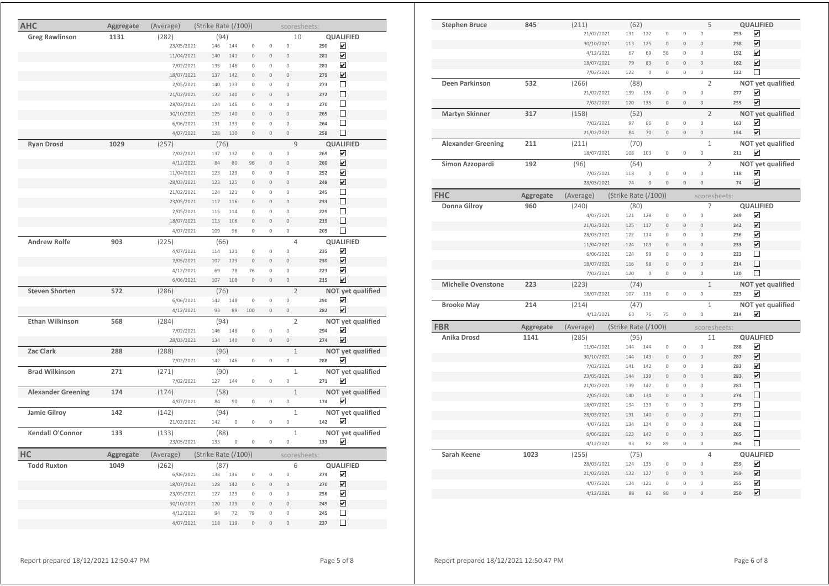| <b>AHC</b>                | Aggregate | (Average)          | (Strike Rate (/100)) |             |                     |                     | scoresheets:             |            |                         |
|---------------------------|-----------|--------------------|----------------------|-------------|---------------------|---------------------|--------------------------|------------|-------------------------|
| <b>Greg Rawlinson</b>     | 1131      | (282)              | (94)                 |             |                     |                     | 10                       |            | QUALIFIED               |
|                           |           | 23/05/2021         | 146                  | 144         | $\circ$             | $\circ$             | 0                        | 290        | ⊻                       |
|                           |           | 11/04/2021         | 140                  | 141         | $\Omega$            | $\mathbb O$         | $\overline{0}$           | 281        | $\overline{\mathbf{v}}$ |
|                           |           | 7/02/2021          | 135                  | 146         | $\mathsf{O}\xspace$ | $\mathsf{O}\xspace$ | 0                        | 281        | ☑                       |
|                           |           | 18/07/2021         | 137                  | 142         | $\mathbb O$         | $\mathbb O$         | $\overline{0}$           | 279        | ☑                       |
|                           |           | 2/05/2021          | 140                  | 133         | $\mathbb O$         | $\mathbf 0$         | $\circ$                  | 273        | П                       |
|                           |           | 21/02/2021         | 132                  | 140         | $\mathbf{0}$        | $\mathbf 0$         | $\theta$                 | 272        | П                       |
|                           |           | 28/03/2021         | 124                  | 146         | $\circ$             | $\mathsf{O}\xspace$ | $\circ$                  | 270        | □                       |
|                           |           | 30/10/2021         | 125                  | 140         | $\Omega$            | $\Omega$            | $\overline{0}$           | 265        | П                       |
|                           |           | 6/06/2021          | 131                  | 133         | $\mathsf{O}\xspace$ | $\mathsf{O}\xspace$ | $\mathsf{O}\xspace$      | 264        | П                       |
|                           |           | 4/07/2021          | 128                  | 130         | $\mathbf 0$         | $\mathbb O$         | 0                        | 258        | □                       |
| <b>Ryan Drosd</b>         | 1029      | (257)              | (76)                 |             |                     |                     | 9                        |            | <b>QUALIFIED</b>        |
|                           |           | 7/02/2021          | 137                  | 132         | $\mathbb O$         | $\mathsf{O}\xspace$ | 0                        | 269        | ☑                       |
|                           |           | 4/12/2021          | 84                   | 80          | 96                  | $\mathbf 0$         | $\overline{0}$           | 260        | ☑                       |
|                           |           | 11/04/2021         | 123                  | 129         | $\mathbb O$         | $\Omega$            | $\circ$                  | 252        | ☑                       |
|                           |           | 28/03/2021         | 123                  | 125         | $\mathbf 0$         | $\mathbf 0$         | $\overline{0}$           | 248        | ☑                       |
|                           |           | 21/02/2021         | 124                  | 121         | $\mathsf{O}\xspace$ | $\mathsf{O}\xspace$ | $\mathsf{O}\xspace$      | 245        | □                       |
|                           |           | 23/05/2021         | 117                  | 116         | $\Omega$            | $\Omega$            | $\Omega$                 | 233        | □                       |
|                           |           | 2/05/2021          | 115                  | 114         | $\mathsf{O}\xspace$ | $\mathsf{O}\xspace$ | $\mathsf{O}\xspace$      | 229        | П                       |
|                           |           | 18/07/2021         | 113                  | 106         | $\mathbb O$         | $\mathbb O$         | $\mathsf{O}\xspace$      | 219        | □                       |
|                           |           | 4/07/2021          | 109                  | 96          | $\mathsf{O}\xspace$ | $\mathsf{O}\xspace$ | $\mathsf{O}\xspace$      | 205        | □                       |
| <b>Andrew Rolfe</b>       | 903       | (225)              | (66)                 |             |                     |                     | 4                        |            | <b>QUALIFIED</b>        |
|                           |           | 4/07/2021          | 114                  | 121         | $\mathbf 0$         | $\mathbf 0$         | $\mathbb O$              | 235        | ☑                       |
|                           |           | 2/05/2021          | 107                  | 123         | $\circ$             | $\mathsf{O}\xspace$ | $\circ$                  | 230        | ☑                       |
|                           |           | 4/12/2021          | 69                   | 78          | 76                  | 0                   | $\mathbb O$              | 223        | ☑                       |
|                           |           | 6/06/2021          | 107                  | 108         | $\Omega$            | $\mathbb O$         | $\mathsf{O}\xspace$      | 215        | ☑                       |
| <b>Steven Shorten</b>     | 572       | (286)              | (76)                 |             |                     |                     | $\overline{2}$           |            | NOT yet qualified       |
|                           |           | 6/06/2021          | 142                  | 148         | $\mathbf 0$         | $\mathbb O$         | $\mathbf 0$              | 290        | ☑                       |
|                           |           | 4/12/2021          | 93                   | 89          | 100                 | $\mathbb O$         | 0                        | 282        | ☑                       |
|                           |           |                    |                      |             |                     |                     |                          |            |                         |
| <b>Ethan Wilkinson</b>    | 568       | (284)              | (94)                 |             |                     |                     | $\overline{2}$           |            | NOT yet qualified<br>☑  |
|                           |           | 7/02/2021          | 146                  | 148         | $\mathbb O$         | $\mathbb O$         | 0<br>$\mathsf{O}\xspace$ | 294<br>274 | ☑                       |
|                           |           | 28/03/2021         | 134                  | 140         | $\mathbb O$         | $\mathbb O$         |                          |            |                         |
| Zac Clark                 | 288       | (288)              | (96)                 |             |                     |                     | $\mathbf{1}$             |            | NOT yet qualified       |
|                           |           | 7/02/2021          | 142                  | 146         | $\mathbb O$         | $\mathbb O$         | $\mathbb O$              | 288        | ☑                       |
| <b>Brad Wilkinson</b>     | 271       | (271)              | (90)                 |             |                     |                     | $\mathbf 1$              |            | NOT yet qualified       |
|                           |           | 7/02/2021          | 127                  | 144         | $\mathbb O$         | $\mathbb O$         | 0                        | 271        | ☑                       |
| <b>Alexander Greening</b> | 174       | (174)              | (58)                 |             |                     |                     | $\mathbf{1}$             |            | NOT yet qualified       |
|                           |           | 4/07/2021          | 84                   | 90          | $\mathbb O$         | 0                   | $\mathsf{O}\xspace$      | 174        | ⊽                       |
| Jamie Gilroy              | 142       | (142)              | (94)                 |             |                     |                     | $\mathbf{1}$             |            | NOT yet qualified       |
|                           |           | 21/02/2021         | 142                  | $\mathbb O$ | $\mathbb O$         | 0                   | 0                        | 142        | ⊻                       |
| Kendall O'Connor          | 133       | (133)              | (88)                 |             |                     |                     | $\mathbf{1}$             |            | NOT yet qualified       |
|                           |           | 23/05/2021         | 133                  | $\mathbb O$ | $\mathsf{O}\xspace$ | $\mathsf{O}\xspace$ | 0                        | 133        | ☑                       |
| HC                        |           | (Average)          | (Strike Rate (/100)) |             |                     |                     | scoresheets:             |            |                         |
| <b>Todd Ruxton</b>        | Aggregate |                    |                      |             |                     |                     | 6                        |            |                         |
|                           | 1049      | (262)<br>6/06/2021 | (87)<br>138          | 136         | $\mathbb O$         | $\mathbb O$         | $\circ$                  | 274        | <b>QUALIFIED</b><br>☑   |
|                           |           | 18/07/2021         | 128                  | 142         | $\mathbf{0}$        | $\mathbf 0$         | $\overline{0}$           | 270        | ☑                       |
|                           |           | 23/05/2021         | 127                  | 129         | $\mathsf{O}\xspace$ | $\mathsf{O}\xspace$ | 0                        | 256        | ☑                       |
|                           |           |                    | 120                  |             | $\Omega$            | $\mathbf 0$         | $\overline{0}$           |            | ☑                       |
|                           |           | 30/10/2021         | 94                   | 129<br>72   | 79                  | $\mathsf{O}\xspace$ | 0                        | 249<br>245 | $\Box$                  |
|                           |           | 4/12/2021          |                      |             |                     |                     |                          |            | □                       |
|                           |           | 4/07/2021          | 118                  | 119         | $\mathbb O$         | $\mathbf 0$         | $\circ$                  | 237        |                         |

| <b>Stephen Bruce</b>      | 845       | (211)                  | (62)                 |             |                     |                            | 5                      |            | QUALIFIED                                   |
|---------------------------|-----------|------------------------|----------------------|-------------|---------------------|----------------------------|------------------------|------------|---------------------------------------------|
|                           |           | 21/02/2021             | 131                  | 122         | $\mathbf{0}$        | $\mathbf{0}$               | $\mathbf 0$            | 253        | ☑                                           |
|                           |           | 30/10/2021             | 113                  | 125         | $\mathbf 0$         | $\mathbf 0$                | $\mathsf{O}\xspace$    | 238        | ☑                                           |
|                           |           | 4/12/2021              | 67                   | 69          | 56                  | $\mathbb O$                | $\mathbb O$            | 192        | ☑                                           |
|                           |           | 18/07/2021             | 79                   | 83          | $\circ$             | $\theta$                   | $\overline{0}$         | 162        | $\overline{\mathbf{v}}$                     |
|                           |           | 7/02/2021              | 122                  | $\circ$     | $\mathbb O$         | $\circ$                    | $\mathsf{O}\xspace$    | 122        | $\Box$                                      |
| Deen Parkinson            | 532       | (266)                  | (88)                 |             |                     |                            | $\overline{2}$         |            | NOT yet qualified                           |
|                           |           | 21/02/2021             | 139                  | 138         | $\circ$             | $\mathbb O$                | 0                      | 277        | ☑                                           |
|                           |           | 7/02/2021              | 120                  | 135         | $\mathbf 0$         | $\mathbf 0$                | $\mathsf{O}\xspace$    | 255        | ☑                                           |
| Martyn Skinner            | 317       | (158)                  | (52)                 |             |                     |                            | $\overline{2}$         |            | NOT yet qualified                           |
|                           |           | 7/02/2021              | 97                   | 66          | $\circ$             | $\mathbb O$                | $\mathbb O$            | 163        | ☑                                           |
|                           |           | 21/02/2021             | 84                   | 70          | $\mathbf 0$         | $\mathbf 0$                | $\mathsf{O}\xspace$    | 154        | $\blacktriangledown$                        |
| <b>Alexander Greening</b> | 211       | (211)                  | (70)                 |             |                     |                            | $\mathbf{1}$           |            | NOT yet qualified                           |
|                           |           | 18/07/2021             | 108                  | 103         | $\mathsf{O}\xspace$ | $\mathbb O$                | 0                      | 211        | ☑                                           |
| Simon Azzopardi           | 192       | (96)                   | (64)                 |             |                     |                            | $\overline{2}$         |            | NOT yet qualified                           |
|                           |           | 7/02/2021              | 118                  | $\circ$     | $\circ$             | $\mathbb O$                | 0                      | 118        | ☑                                           |
|                           |           | 28/03/2021             | 74                   | $\circ$     | $\circ$             | $\mathbf 0$                | $\mathsf{O}\xspace$    | 74         | ☑                                           |
|                           |           |                        |                      |             |                     |                            |                        |            |                                             |
| <b>FHC</b>                | Aggregate | (Average)              | (Strike Rate (/100)) |             |                     |                            | scoresheets:           |            |                                             |
| Donna Gilroy              | 960       | (240)                  | (80)                 |             |                     |                            | 7                      |            | <b>QUALIFIED</b>                            |
|                           |           | 4/07/2021              | 121                  | 128         | $\circ$             | $\mathbb O$                | $\mathsf{O}\xspace$    | 249        | $\overline{\mathbf{v}}$                     |
|                           |           | 21/02/2021             | 125                  | 117         | $\mathbf 0$         | $\mathbb O$                | $\circ$                | 242        | $\overline{\mathbf{v}}$                     |
|                           |           | 28/03/2021             | 122                  | 114         | $\mathbb O$         | $\mathbb O$                | 0                      | 236        | ☑                                           |
|                           |           | 11/04/2021             | 124                  | 109         | $\overline{0}$      | $\mathbf 0$                | $\mathbf{0}$           | 233        | ☑                                           |
|                           |           | 6/06/2021              | 124                  | 99          | $\circ$             | $\mathbb O$                | $\mathbb O$            | 223        | $\Box$                                      |
|                           |           | 18/07/2021             | 116                  | 98          | $\mathbf 0$         | $\mathbb O$                | $\mathbf 0$            | 214        | П                                           |
|                           |           |                        |                      |             |                     |                            |                        |            |                                             |
|                           |           | 7/02/2021              | 120                  | $\mathbb O$ | 0                   | $\mathbb O$                | $\mathbb O$            | 120        | $\Box$                                      |
| <b>Michelle Ovenstone</b> | 223       | (223)                  | (74)                 |             |                     |                            | $\,1\,$                |            | NOT yet qualified                           |
|                           |           | 18/07/2021             | 107                  | 116         | $\circ$             | $\mathbb O$                | 0                      | 223        | ☑                                           |
| <b>Brooke May</b>         | 214       | (214)                  | (47)                 |             |                     |                            | $\mathbf{1}$           |            | NOT yet qualified                           |
|                           |           | 4/12/2021              | 63                   | 76          | 75                  | $\mathbb O$                | 0                      | 214        | ☑                                           |
| <b>FBR</b>                | Aggregate | (Average)              | (Strike Rate (/100)) |             |                     |                            | scoresheets:           |            |                                             |
| Anika Drosd               | 1141      |                        |                      |             |                     |                            | 11                     |            |                                             |
|                           |           | (285)<br>11/04/2021    | (95)<br>144          | 144         | $\mathbb O$         | $\mathbb O$                | 0                      | 288        | <b>QUALIFIED</b><br>$\overline{\mathbf{v}}$ |
|                           |           | 30/10/2021             | 144                  | 143         | $\overline{0}$      | $\overline{0}$             | $\mathbf{0}$           | 287        | $\overline{\mathbf{v}}$                     |
|                           |           | 7/02/2021              | 141                  | 142         | 0                   | $\mathbb O$                | 0                      | 283        | $\overline{\mathbf{v}}$                     |
|                           |           | 23/05/2021             | 144                  | 139         | $\Omega$            | $\mathbb O$                | $\Omega$               | 283        | ☑                                           |
|                           |           | 21/02/2021             | 139                  | 142         | $\mathbf 0$         | $\mathbb O$                | $\mathbf 0$            | 281        | $\Box$                                      |
|                           |           | 2/05/2021              | 140                  | 134         | $\mathbf 0$         | $\mathbf 0$                | $\mathsf{O}\xspace$    | 274        | $\Box$                                      |
|                           |           | 18/07/2021             | 134                  | 139         | 0                   | $\mathbb O$                | 0                      | 273        | $\Box$                                      |
|                           |           | 28/03/2021             | 131                  | 140         | $\Omega$            | $\Omega$                   | $\Omega$               | 271        | □                                           |
|                           |           | 4/07/2021              | 134                  | 134         | $\circ$             | $\mathbb O$                | $\mathbf 0$            | 268        | $\Box$                                      |
|                           |           | 6/06/2021              | 123                  | 142         | $\mathbb O$         | $\mathbb O$                | $\mathsf{O}\xspace$    | 265        | $\Box$                                      |
|                           |           | 4/12/2021              | 93                   | 82          | 89                  | 0                          | 0                      | 264        | $\Box$                                      |
|                           |           |                        |                      |             |                     |                            | $\overline{4}$         |            |                                             |
| Sarah Keene               | 1023      | (255)                  | (75)<br>124          | 135         | $\mathbb O$         | $\mathbb O$                | 0                      | 259        | QUALIFIED                                   |
|                           |           | 28/03/2021             | 132                  | 127         | $\circ$             | $\overline{0}$             | $\overline{0}$         | 259        | ☑                                           |
|                           |           | 21/02/2021             |                      |             |                     |                            |                        |            | ☑                                           |
|                           |           | 4/07/2021<br>4/12/2021 | 134<br>88            | 121<br>82   | $\circ$<br>80       | $\mathbb O$<br>$\mathbf 0$ | $\mathbf 0$<br>$\circ$ | 255<br>250 | ☑<br>$\blacktriangledown$                   |